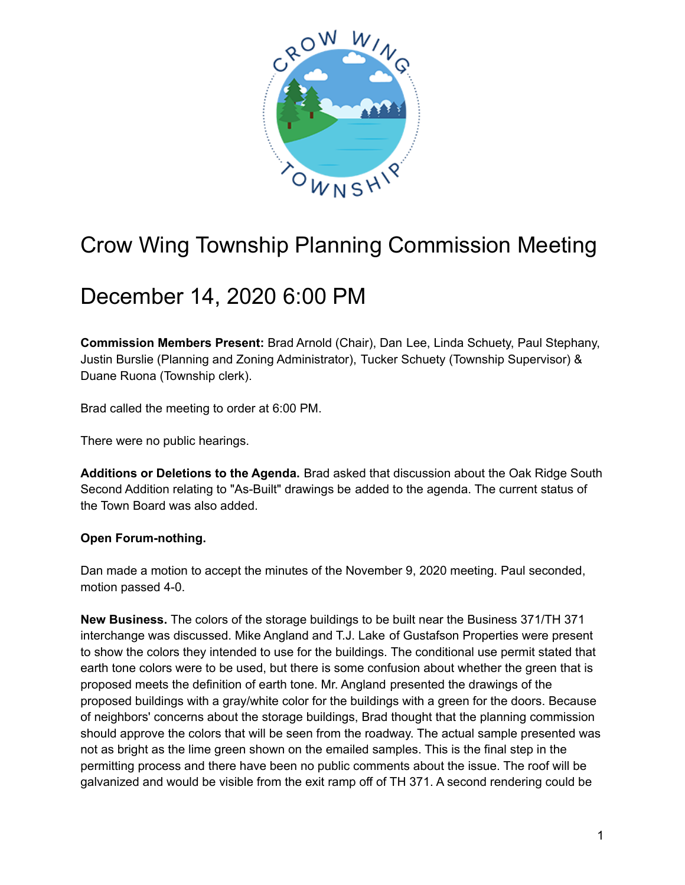

## Crow Wing Township Planning Commission Meeting

## December 14, 2020 6:00 PM

**Commission Members Present:** Brad Arnold (Chair), Dan Lee, Linda Schuety, Paul Stephany, Justin Burslie (Planning and Zoning Administrator), Tucker Schuety (Township Supervisor) & Duane Ruona (Township clerk).

Brad called the meeting to order at 6:00 PM.

There were no public hearings.

**Additions or Deletions to the Agenda.** Brad asked that discussion about the Oak Ridge South Second Addition relating to "As-Built" drawings be added to the agenda. The current status of the Town Board was also added.

## **Open Forum-nothing.**

Dan made a motion to accept the minutes of the November 9, 2020 meeting. Paul seconded, motion passed 4-0.

**New Business.** The colors of the storage buildings to be built near the Business 371/TH 371 interchange was discussed. Mike Angland and T.J. Lake of Gustafson Properties were present to show the colors they intended to use for the buildings. The conditional use permit stated that earth tone colors were to be used, but there is some confusion about whether the green that is proposed meets the definition of earth tone. Mr. Angland presented the drawings of the proposed buildings with a gray/white color for the buildings with a green for the doors. Because of neighbors' concerns about the storage buildings, Brad thought that the planning commission should approve the colors that will be seen from the roadway. The actual sample presented was not as bright as the lime green shown on the emailed samples. This is the final step in the permitting process and there have been no public comments about the issue. The roof will be galvanized and would be visible from the exit ramp off of TH 371. A second rendering could be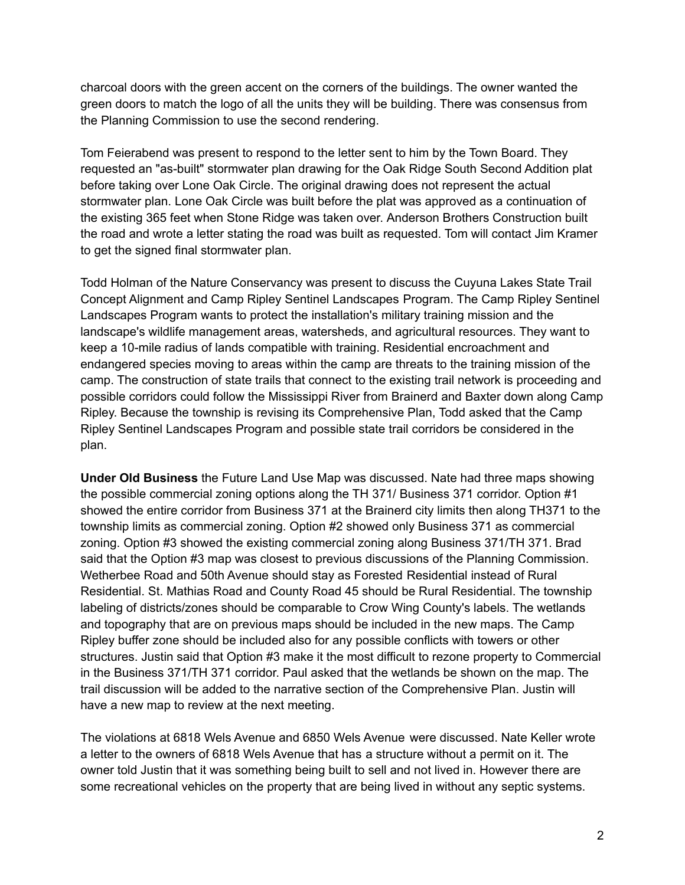charcoal doors with the green accent on the corners of the buildings. The owner wanted the green doors to match the logo of all the units they will be building. There was consensus from the Planning Commission to use the second rendering.

Tom Feierabend was present to respond to the letter sent to him by the Town Board. They requested an "as-built" stormwater plan drawing for the Oak Ridge South Second Addition plat before taking over Lone Oak Circle. The original drawing does not represent the actual stormwater plan. Lone Oak Circle was built before the plat was approved as a continuation of the existing 365 feet when Stone Ridge was taken over. Anderson Brothers Construction built the road and wrote a letter stating the road was built as requested. Tom will contact Jim Kramer to get the signed final stormwater plan.

Todd Holman of the Nature Conservancy was present to discuss the Cuyuna Lakes State Trail Concept Alignment and Camp Ripley Sentinel Landscapes Program. The Camp Ripley Sentinel Landscapes Program wants to protect the installation's military training mission and the landscape's wildlife management areas, watersheds, and agricultural resources. They want to keep a 10-mile radius of lands compatible with training. Residential encroachment and endangered species moving to areas within the camp are threats to the training mission of the camp. The construction of state trails that connect to the existing trail network is proceeding and possible corridors could follow the Mississippi River from Brainerd and Baxter down along Camp Ripley. Because the township is revising its Comprehensive Plan, Todd asked that the Camp Ripley Sentinel Landscapes Program and possible state trail corridors be considered in the plan.

**Under Old Business** the Future Land Use Map was discussed. Nate had three maps showing the possible commercial zoning options along the TH 371/ Business 371 corridor. Option #1 showed the entire corridor from Business 371 at the Brainerd city limits then along TH371 to the township limits as commercial zoning. Option #2 showed only Business 371 as commercial zoning. Option #3 showed the existing commercial zoning along Business 371/TH 371. Brad said that the Option #3 map was closest to previous discussions of the Planning Commission. Wetherbee Road and 50th Avenue should stay as Forested Residential instead of Rural Residential. St. Mathias Road and County Road 45 should be Rural Residential. The township labeling of districts/zones should be comparable to Crow Wing County's labels. The wetlands and topography that are on previous maps should be included in the new maps. The Camp Ripley buffer zone should be included also for any possible conflicts with towers or other structures. Justin said that Option #3 make it the most difficult to rezone property to Commercial in the Business 371/TH 371 corridor. Paul asked that the wetlands be shown on the map. The trail discussion will be added to the narrative section of the Comprehensive Plan. Justin will have a new map to review at the next meeting.

The violations at 6818 Wels Avenue and 6850 Wels Avenue were discussed. Nate Keller wrote a letter to the owners of 6818 Wels Avenue that has a structure without a permit on it. The owner told Justin that it was something being built to sell and not lived in. However there are some recreational vehicles on the property that are being lived in without any septic systems.